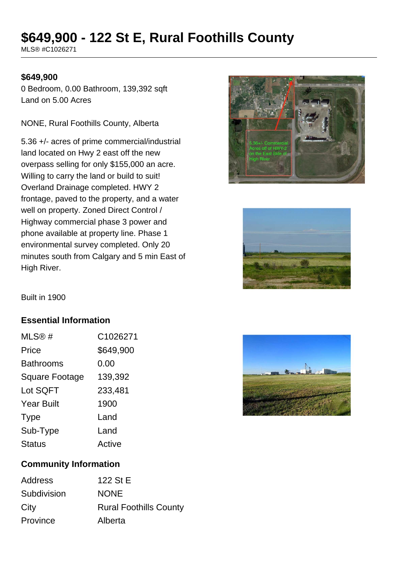# **\$649,900 - 122 St E, Rural Foothills County**

MLS® #C1026271

#### **\$649,900**

0 Bedroom, 0.00 Bathroom, 139,392 sqft Land on 5.00 Acres

NONE, Rural Foothills County, Alberta

5.36 +/- acres of prime commercial/industrial land located on Hwy 2 east off the new overpass selling for only \$155,000 an acre. Willing to carry the land or build to suit! Overland Drainage completed. HWY 2 frontage, paved to the property, and a water well on property. Zoned Direct Control / Highway commercial phase 3 power and phone available at property line. Phase 1 environmental survey completed. Only 20 minutes south from Calgary and 5 min East of High River.





Built in 1900

#### **Essential Information**

| MLS@#                 | C1026271  |
|-----------------------|-----------|
| Price                 | \$649,900 |
| <b>Bathrooms</b>      | 0.00      |
| <b>Square Footage</b> | 139,392   |
| Lot SQFT              | 233,481   |
| <b>Year Built</b>     | 1900      |
| <b>Type</b>           | Land      |
| Sub-Type              | Land      |
| <b>Status</b>         | Active    |



## **Community Information**

| Address     | 122 St E                      |
|-------------|-------------------------------|
| Subdivision | <b>NONE</b>                   |
| City        | <b>Rural Foothills County</b> |
| Province    | Alberta                       |
|             |                               |